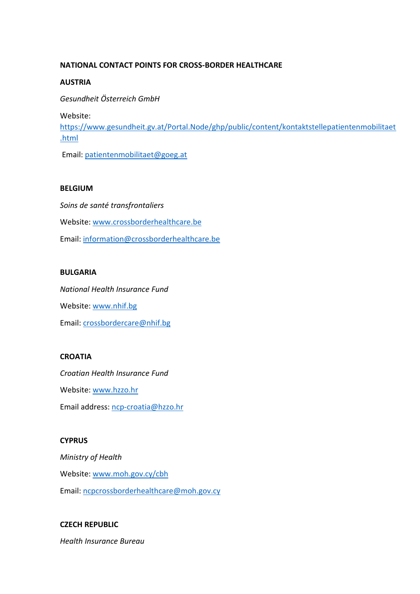## **NATIONAL CONTACT POINTS FOR CROSS-BORDER HEALTHCARE**

#### **AUSTRIA**

*Gesundheit Österreich GmbH* 

Website:

[https://www.gesundheit.gv.at/Portal.Node/ghp/public/content/kontaktstellepatientenmobilitaet](https://www.gesundheit.gv.at/Portal.Node/ghp/public/content/kontaktstellepatientenmobilitaet%20.html)  [.html](https://www.gesundheit.gv.at/Portal.Node/ghp/public/content/kontaktstellepatientenmobilitaet%20.html)

Email: [patientenmobilitaet@goeg.at](mailto:patientenmobilitaet@goeg.at)

#### **BELGIUM**

*Soins de santé transfrontaliers*  Website: [www.crossborderhealthcare.be](http://www.crossborderhealthcare.be/) Email[: information@crossborderhealthcare.be](mailto:information@crossborderhealthcare.be)

#### **BULGARIA**

*National Health Insurance Fund*  Website: [www.nhif.bg](http://www.nhif.bg/) Email[: crossbordercare@nhif.bg](mailto:crossbordercare@nhif.bg)

#### **CROATIA**

*Croatian Health Insurance Fund*  Website: [www.hzzo.hr](http://www.hzzo.hr/) Email address: [ncp-croatia@hzzo.hr](mailto:ncp-croatia@hzzo.hr)

# **CYPRUS**

*Ministry of Health*  Website: [www.moh.gov.cy/cbh](http://www.moh.gov.cy/cbh) Email[: ncpcrossborderhealthcare@moh.gov.cy](mailto:ncpcrossborderhealthcare@moh.gov.cy)

# **CZECH REPUBLIC**

*Health Insurance Bureau*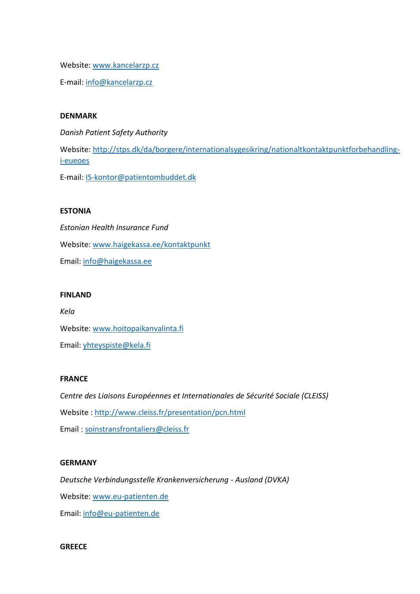Website: [www.kancelarzp.cz](http://www.kancelarzp.cz/)

E-mail: [info@kancelarzp.cz](mailto:info@kancelarzp.cz)

#### **DENMARK**

*Danish Patient Safety Authority*  Website: [http://stps.dk/da/borgere/internationalsygesikring/nationaltkontaktpunktforbehandling](http://stps.dk/da/borgere/internationalsygesikring/nationaltkontaktpunktforbehandling-i-eueoes)[i-eueoes](http://stps.dk/da/borgere/internationalsygesikring/nationaltkontaktpunktforbehandling-i-eueoes)

E-mail: [IS-kontor@patientombuddet.dk](mailto:IS-kontor@patientombuddet.dk)

## **ESTONIA**

*Estonian Health Insurance Fund*  Website: [www.haigekassa.ee/kontaktpunkt](http://www.haigekassa.ee/kontaktpunkt) Email[: info@haigekassa.ee](mailto:info@haigekassa.ee)

## **FINLAND**

*Kela*  Website: [www.hoitopaikanvalinta.fi](http://www.hoitopaikanvalinta.fi/) Email[: yhteyspiste@kela.fi](mailto:yhteyspiste@kela.fi)

#### **FRANCE**

*Centre des Liaisons Européennes et Internationales de Sécurité Sociale (CLEISS)*  Website :<http://www.cleiss.fr/presentation/pcn.html> Email : [soinstransfrontaliers@cleiss.fr](mailto:soinstransfrontaliers@cleiss.fr)

## **GERMANY**

*Deutsche Verbindungsstelle Krankenversicherung - Ausland (DVKA)*  Website: [www.eu-patienten.de](http://www.eu-patienten.de/) Email[: info@eu-patienten.de](mailto:info@eu-patienten.de)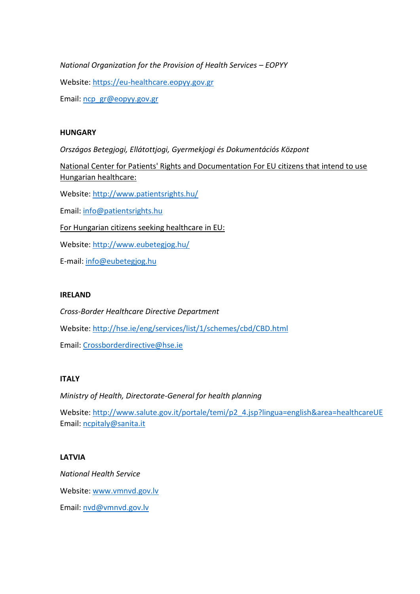*National Organization for the Provision of Health Services - EOPYY* Website: [https://eu-healthcare.eopyy.gov.gr](https://eu-healthcare.eopyy.gov.gr/) Email[: ncp\\_gr@eopyy.gov.gr](mailto:ncp_gr@eopyy.gov.gr)

## **HUNGARY**

*Országos Betegjogi, Ellátottjogi, Gyermekjogi és Dokumentációs Központ* 

National Center for Patients' Rights and Documentation For EU citizens that intend to use Hungarian healthcare:

Website:<http://www.patientsrights.hu/>

Email[: info@patientsrights.hu](mailto:info@patientsrights.hu)

For Hungarian citizens seeking healthcare in EU:

Website:<http://www.eubetegjog.hu/>

E-mail: [info@eubetegjog.hu](mailto:info@eubetegjog.hu)

#### **IRELAND**

*Cross-Border Healthcare Directive Department*  Website:<http://hse.ie/eng/services/list/1/schemes/cbd/CBD.html> Email[: Crossborderdirective@hse.ie](mailto:Crossborderdirective@hse.ie)

#### **ITALY**

*Ministry of Health, Directorate-General for health planning* 

Website: [http://www.salute.gov.it/portale/temi/p2\\_4.jsp?lingua=english&area=healthcareUE](http://www.salute.gov.it/portale/temi/p2_4.jsp?lingua=english&area=healthcareUE) Email[: ncpitaly@sanita.it](mailto:ncpitaly@sanita.it)

#### **LATVIA**

*National Health Service*  Website: [www.vmnvd.gov.lv](http://www.vmnvd.gov.lv/) Email[: nvd@vmnvd.gov.lv](mailto:nvd@vmnvd.gov.lv)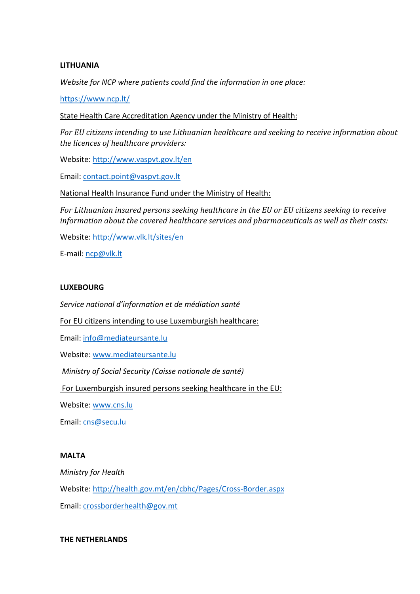#### **LITHUANIA**

*Website for NCP where patients could find the information in one place:* 

<https://www.ncp.lt/>

State Health Care Accreditation Agency under the Ministry of Health:

*For EU citizens intending to use Lithuanian healthcare and seeking to receive information about the licences of healthcare providers:*

Website:<http://www.vaspvt.gov.lt/en>

Email[: contact.point@vaspvt.gov.lt](mailto:contact.point@vaspvt.gov.lt)

National Health Insurance Fund under the Ministry of Health:

*For Lithuanian insured persons seeking healthcare in the EU or EU citizens seeking to receive information about the covered healthcare services and pharmaceuticals as well as their costs:*

Website:<http://www.vlk.lt/sites/en>

E-mail: [ncp@vlk.lt](mailto:ncp@vlk.lt)

#### **LUXEBOURG**

*Service national d'information et de médiation santé* 

For EU citizens intending to use Luxemburgish healthcare:

Email[: info@mediateursante.lu](mailto:info@mediateursante.lu)

Website: [www.mediateursante.lu](http://www.mediateursante.lu/)

*Ministry of Social Security (Caisse nationale de santé)*

For Luxemburgish insured persons seeking healthcare in the EU:

Website: [www.cns.lu](http://www.cns.lu/)

Email[: cns@secu.lu](mailto:cns@secu.lu)

#### **MALTA**

*Ministry for Health* 

Website:<http://health.gov.mt/en/cbhc/Pages/Cross-Border.aspx>

Email[: crossborderhealth@gov.mt](mailto:crossborderhealth@gov.mt)

#### **THE NETHERLANDS**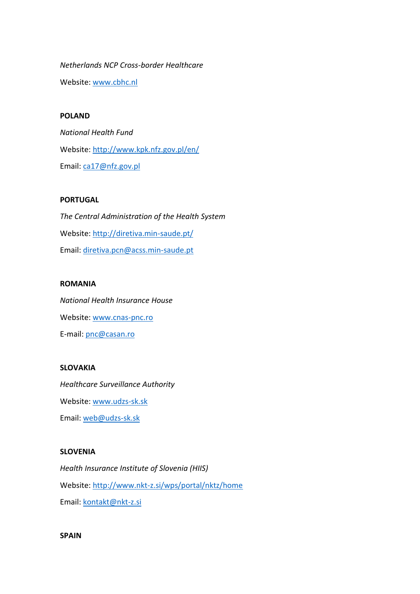*Netherlands NCP Cross-border Healthcare*  Website: [www.cbhc.nl](http://www.cbhc.nl/)

## **POLAND**

*National Health Fund*  Website:<http://www.kpk.nfz.gov.pl/en/> Email[: ca17@nfz.gov.pl](mailto:ca17@nfz.gov.pl)

#### **PORTUGAL**

*The Central Administration of the Health System*  Website:<http://diretiva.min-saude.pt/> Email[: diretiva.pcn@acss.min-saude.pt](mailto:diretiva.pcn@acss.min-saude.pt)

## **ROMANIA**

*National Health Insurance House* Website: [www.cnas-pnc.ro](http://www.cnas-pnc.ro/) E-mail: [pnc@casan.ro](mailto:pnc@casan.ro)

## **SLOVAKIA**

*Healthcare Surveillance Authority*  Website: [www.udzs-sk.sk](http://www.udzs-sk.sk/) Email[: web@udzs-sk.sk](mailto:web@udzs-sk.sk)

#### **SLOVENIA**

*Health Insurance Institute of Slovenia (HIIS)*  Website:<http://www.nkt-z.si/wps/portal/nktz/home> Email[: kontakt@nkt-z.si](mailto:kontakt@nkt-z.si)

**SPAIN**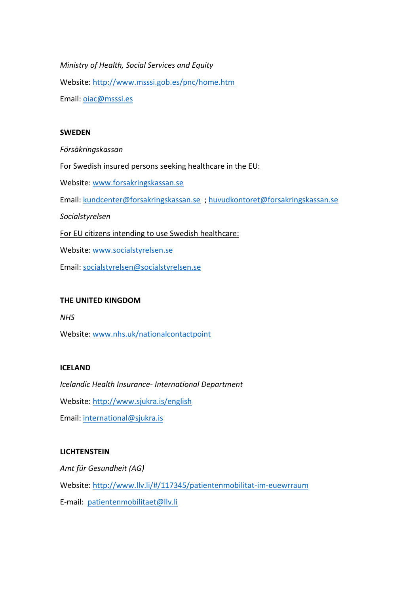*Ministry of Health, Social Services and Equity*  Website:<http://www.msssi.gob.es/pnc/home.htm> Email[: oiac@msssi.es](mailto:oiac@msssi.es)

#### **SWEDEN**

*Försäkringskassan* 

For Swedish insured persons seeking healthcare in the EU:

Website: [www.forsakringskassan.se](http://www.forsakringskassan.se/)

Email[: kundcenter@forsakringskassan.se](mailto:kundcenter@forsakringskassan.se) [; huvudkontoret@forsakringskassan.se](mailto:huvudkontoret@forsakringskassan.se)

*Socialstyrelsen* 

For EU citizens intending to use Swedish healthcare:

Website: [www.socialstyrelsen.se](http://www.socialstyrelsen.se/)

Email[: socialstyrelsen@socialstyrelsen.se](mailto:socialstyrelsen@socialstyrelsen.se)

#### **THE UNITED KINGDOM**

*NHS* 

Website: [www.nhs.uk/nationalcontactpoint](http://www.nhs.uk/nationalcontactpoint)

## **ICELAND**

*Icelandic Health Insurance- International Department*  Website:<http://www.sjukra.is/english> Email[: international@sjukra.is](mailto:international@sjukra.is)

#### **LICHTENSTEIN**

*Amt für Gesundheit (AG)*  Website:<http://www.llv.li/#/117345/patientenmobilitat-im-euewrraum> E-mail: [patientenmobilitaet@llv.li](mailto:patientenmobilitaet@llv.li)